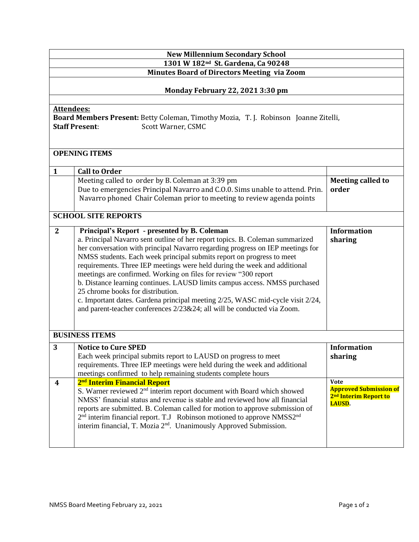| <b>New Millennium Secondary School</b>                                                                                                                  |                                                                                                                                                                                                                                                                                                                                                                                                                                                                                                                                                                                                                                                                                                                          |                                                                                                    |  |
|---------------------------------------------------------------------------------------------------------------------------------------------------------|--------------------------------------------------------------------------------------------------------------------------------------------------------------------------------------------------------------------------------------------------------------------------------------------------------------------------------------------------------------------------------------------------------------------------------------------------------------------------------------------------------------------------------------------------------------------------------------------------------------------------------------------------------------------------------------------------------------------------|----------------------------------------------------------------------------------------------------|--|
| 1301 W 182 <sup>nd</sup> St. Gardena, Ca 90248<br><b>Minutes Board of Directors Meeting via Zoom</b>                                                    |                                                                                                                                                                                                                                                                                                                                                                                                                                                                                                                                                                                                                                                                                                                          |                                                                                                    |  |
| Monday February 22, 2021 3:30 pm                                                                                                                        |                                                                                                                                                                                                                                                                                                                                                                                                                                                                                                                                                                                                                                                                                                                          |                                                                                                    |  |
| <b>Attendees:</b><br>Board Members Present: Betty Coleman, Timothy Mozia, T. J. Robinson Joanne Zitelli,<br>Scott Warner, CSMC<br><b>Staff Present:</b> |                                                                                                                                                                                                                                                                                                                                                                                                                                                                                                                                                                                                                                                                                                                          |                                                                                                    |  |
| <b>OPENING ITEMS</b>                                                                                                                                    |                                                                                                                                                                                                                                                                                                                                                                                                                                                                                                                                                                                                                                                                                                                          |                                                                                                    |  |
| $\mathbf{1}$                                                                                                                                            | <b>Call to Order</b>                                                                                                                                                                                                                                                                                                                                                                                                                                                                                                                                                                                                                                                                                                     |                                                                                                    |  |
|                                                                                                                                                         | Meeting called to order by B. Coleman at 3:39 pm<br>Due to emergencies Principal Navarro and C.O.O. Sims unable to attend. Prin.<br>Navarro phoned Chair Coleman prior to meeting to review agenda points                                                                                                                                                                                                                                                                                                                                                                                                                                                                                                                | <b>Meeting called to</b><br>order                                                                  |  |
| <b>SCHOOL SITE REPORTS</b>                                                                                                                              |                                                                                                                                                                                                                                                                                                                                                                                                                                                                                                                                                                                                                                                                                                                          |                                                                                                    |  |
| $\mathbf{2}$                                                                                                                                            | Principal's Report - presented by B. Coleman<br>a. Principal Navarro sent outline of her report topics. B. Coleman summarized<br>her conversation with principal Navarro regarding progress on IEP meetings for<br>NMSS students. Each week principal submits report on progress to meet<br>requirements. Three IEP meetings were held during the week and additional<br>meetings are confirmed. Working on files for review "300 report<br>b. Distance learning continues. LAUSD limits campus access. NMSS purchased<br>25 chrome books for distribution.<br>c. Important dates. Gardena principal meeting 2/25, WASC mid-cycle visit 2/24,<br>and parent-teacher conferences 2/23&24; all will be conducted via Zoom. | <b>Information</b><br>sharing                                                                      |  |
| <b>BUSINESS ITEMS</b>                                                                                                                                   |                                                                                                                                                                                                                                                                                                                                                                                                                                                                                                                                                                                                                                                                                                                          |                                                                                                    |  |
| 3                                                                                                                                                       | <b>Notice to Cure SPED</b><br>Each week principal submits report to LAUSD on progress to meet<br>requirements. Three IEP meetings were held during the week and additional<br>meetings confirmed to help remaining students complete hours                                                                                                                                                                                                                                                                                                                                                                                                                                                                               | <b>Information</b><br>sharing                                                                      |  |
| $\boldsymbol{4}$                                                                                                                                        | 2 <sup>nd</sup> Interim Financial Report<br>S. Warner reviewed 2 <sup>nd</sup> interim report document with Board which showed<br>NMSS' financial status and revenue is stable and reviewed how all financial<br>reports are submitted. B. Coleman called for motion to approve submission of<br>2 <sup>nd</sup> interim financial report. T.J Robinson motioned to approve NMSS2 <sup>nd</sup><br>interim financial, T. Mozia 2 <sup>nd</sup> . Unanimously Approved Submission.                                                                                                                                                                                                                                        | <b>Vote</b><br><b>Approved Submission of</b><br>2 <sup>nd</sup> Interim Report to<br><b>LAUSD.</b> |  |